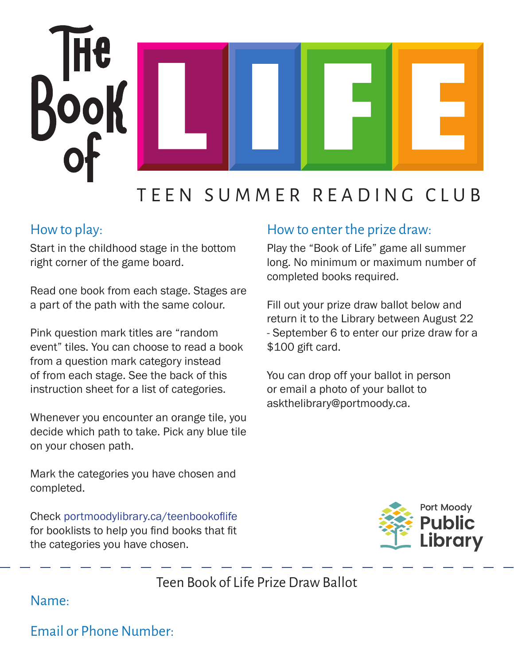

## TEEN SUMMER READING CLUB

## How to play:

Start in the childhood stage in the bottom right corner of the game board.

Read one book from each stage. Stages are a part of the path with the same colour.

Pink question mark titles are "random event" tiles. You can choose to read a book from a question mark category instead of from each stage. See the back of this instruction sheet for a list of categories.

Whenever you encounter an orange tile, you decide which path to take. Pick any blue tile on your chosen path.

## How to enter the prize draw:

Play the "Book of Life" game all summer long. No minimum or maximum number of completed books required.

Fill out your prize draw ballot below and return it to the Library between August 22 - September 6 to enter our prize draw for a \$100 gift card.

You can drop off your ballot in person or email a photo of your ballot to askthelibrary@portmoody.ca.

Mark the categories you have chosen and completed.

Check portmoodylibrary.ca/teenbookoflife for booklists to help you find books that fit the categories you have chosen.



Teen Book of Life Prize Draw Ballot

Name:

Email or Phone Number: